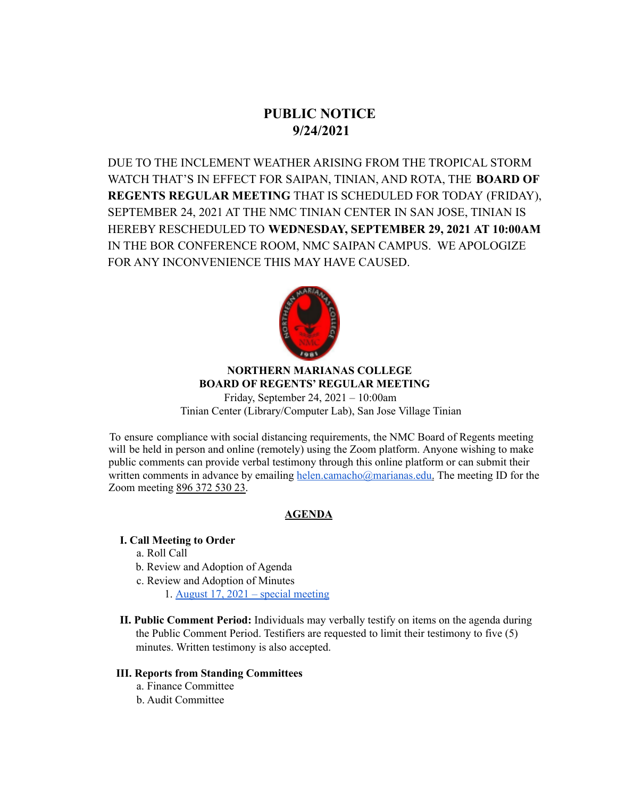# **PUBLIC NOTICE 9/24/2021**

DUE TO THE INCLEMENT WEATHER ARISING FROM THE TROPICAL STORM WATCH THAT'S IN EFFECT FOR SAIPAN, TINIAN, AND ROTA, THE **BOARD OF REGENTS REGULAR MEETING** THAT IS SCHEDULED FOR TODAY (FRIDAY), SEPTEMBER 24, 2021 AT THE NMC TINIAN CENTER IN SAN JOSE, TINIAN IS HEREBY RESCHEDULED TO **WEDNESDAY, SEPTEMBER 29, 2021 AT 10:00AM** IN THE BOR CONFERENCE ROOM, NMC SAIPAN CAMPUS. WE APOLOGIZE FOR ANY INCONVENIENCE THIS MAY HAVE CAUSED.



# **NORTHERN MARIANAS COLLEGE BOARD OF REGENTS' REGULAR MEETING**

Friday, September 24, 2021 – 10:00am Tinian Center (Library/Computer Lab), San Jose Village Tinian

To ensure compliance with social distancing requirements, the NMC Board of Regents meeting will be held in person and online (remotely) using the Zoom platform. Anyone wishing to make public comments can provide verbal testimony through this online platform or can submit their written comments in advance by emailing helen.camacho@marianas.edu. The meeting ID for the Zoom meeting 896 372 530 23.

# **AGENDA**

# **I. Call Meeting to Order**

- a. Roll Call
- b. Review and Adoption of Agenda
- c. Review and Adoption of Minutes
	- 1. August 17, 2021 special [meeting](https://docs.google.com/document/d/1gN-npS8iLWL8a6h1AUy7DhxsWB4XS6S9/edit?usp=sharing&ouid=113240351932272450214&rtpof=true&sd=true)
- **II. Public Comment Period:** Individuals may verbally testify on items on the agenda during the Public Comment Period. Testifiers are requested to limit their testimony to five (5) minutes. Written testimony is also accepted.

### **III. Reports from Standing Committees**

- a. Finance Committee
- b. Audit Committee